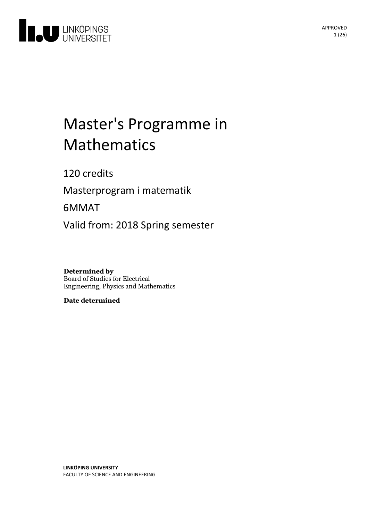

# Master's Programme in Mathematics

120 credits

Masterprogram i matematik

6MMAT

Valid from: 2018 Spring semester

**Determined by** Board of Studies for Electrical Engineering, Physics and Mathematics

**Date determined**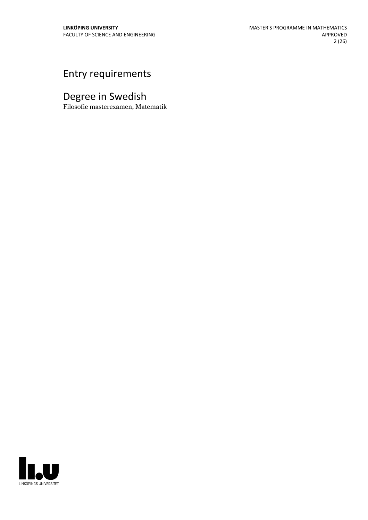# Entry requirements

# Degree in Swedish

Filosofie masterexamen, Matematik

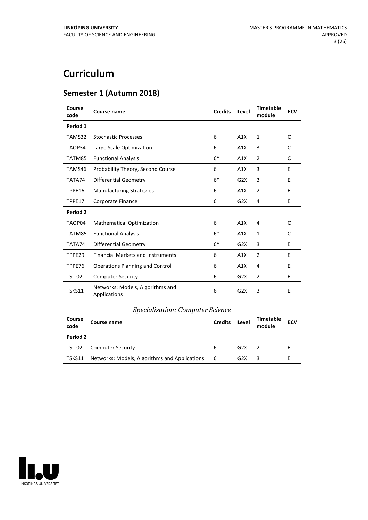# **Curriculum**

# **Semester 1 (Autumn 2018)**

| Course<br>code | Course name                                      | <b>Credits</b> | Level | <b>Timetable</b><br>module | <b>ECV</b> |
|----------------|--------------------------------------------------|----------------|-------|----------------------------|------------|
| Period 1       |                                                  |                |       |                            |            |
| TAMS32         | <b>Stochastic Processes</b>                      | 6              | A1X   | 1                          | C          |
| TAOP34         | Large Scale Optimization                         | 6              | A1X   | 3                          | C          |
| TATM85         | <b>Functional Analysis</b>                       | $6*$           | A1X   | 2                          | C          |
| TAMS46         | Probability Theory, Second Course                | 6              | A1X   | 3                          | E          |
| TATA74         | <b>Differential Geometry</b>                     | $6*$           | G2X   | 3                          | E          |
| TPPE16         | <b>Manufacturing Strategies</b>                  | 6              | A1X   | $\overline{2}$             | F          |
| TPPE17         | Corporate Finance                                | 6              | G2X   | 4                          | E          |
| Period 2       |                                                  |                |       |                            |            |
| TAOP04         | <b>Mathematical Optimization</b>                 | 6              | A1X   | 4                          | C          |
| TATM85         | <b>Functional Analysis</b>                       | $6*$           | A1X   | 1                          | C          |
| TATA74         | <b>Differential Geometry</b>                     | $6*$           | G2X   | 3                          | E          |
| TPPE29         | <b>Financial Markets and Instruments</b>         | 6              | A1X   | $\overline{2}$             | E          |
| TPPE76         | <b>Operations Planning and Control</b>           | 6              | A1X   | 4                          | E          |
| TSIT02         | <b>Computer Security</b>                         | 6              | G2X   | $\overline{2}$             | E          |
| <b>TSKS11</b>  | Networks: Models, Algorithms and<br>Applications | 6              | G2X   | 3                          | Ε          |

# *Specialisation: Computer Science*

| Course<br>code | Course name                                   | <b>Credits</b> | Level | <b>Timetable</b><br>module | <b>ECV</b> |
|----------------|-----------------------------------------------|----------------|-------|----------------------------|------------|
| Period 2       |                                               |                |       |                            |            |
| TSIT02         | <b>Computer Security</b>                      | 6              | G2X   |                            |            |
| TSKS11         | Networks: Models, Algorithms and Applications | - 6            | G2X   | 3                          |            |

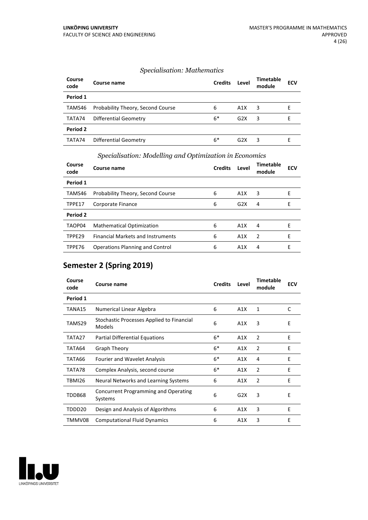# *Specialisation: Mathematics*

| Course<br>code | Course name                       | <b>Credits</b> | Level            | <b>Timetable</b><br>module | <b>ECV</b> |
|----------------|-----------------------------------|----------------|------------------|----------------------------|------------|
| Period 1       |                                   |                |                  |                            |            |
| TAMS46         | Probability Theory, Second Course | 6              | A1X              | 3                          | E          |
| TATA74         | Differential Geometry             | $6*$           | G <sub>2</sub> X | 3                          |            |
| Period 2       |                                   |                |                  |                            |            |
| TATA74         | Differential Geometry             | $6*$           | G2X              | 3                          | F          |

| Course<br>code | Course name                              | <b>Credits</b> | Level | <b>Timetable</b><br>module | <b>ECV</b> |
|----------------|------------------------------------------|----------------|-------|----------------------------|------------|
| Period 1       |                                          |                |       |                            |            |
| TAMS46         | Probability Theory, Second Course        | 6              | A1X   | 3                          | Е          |
| TPPE17         | Corporate Finance                        | 6              | G2X   | 4                          | E          |
| Period 2       |                                          |                |       |                            |            |
| TAOP04         | <b>Mathematical Optimization</b>         | 6              | A1X   | 4                          | F          |
| TPPE29         | <b>Financial Markets and Instruments</b> | 6              | A1X   | 2                          | E          |
| TPPE76         | <b>Operations Planning and Control</b>   | 6              | A1X   | 4                          | E          |

# *Specialisation: Modelling and Optimization in Economics*

# **Semester 2 (Spring 2019)**

| Course<br>code | Course name                                            | <b>Credits</b> | Level | <b>Timetable</b><br>module | <b>ECV</b> |
|----------------|--------------------------------------------------------|----------------|-------|----------------------------|------------|
| Period 1       |                                                        |                |       |                            |            |
| TANA15         | Numerical Linear Algebra                               | 6              | A1X   | $\mathbf{1}$               | C          |
| TAMS29         | Stochastic Processes Applied to Financial<br>Models    | 6              | A1X   | 3                          | E          |
| TATA27         | <b>Partial Differential Equations</b>                  | $6*$           | A1X   | $\overline{2}$             | E          |
| TATA64         | Graph Theory                                           | $6*$           | A1X   | $\overline{2}$             | E          |
| TATA66         | <b>Fourier and Wavelet Analysis</b>                    | $6*$           | A1X   | 4                          | E          |
| TATA78         | Complex Analysis, second course                        | $6*$           | A1X   | $\overline{2}$             | E          |
| TBMI26         | Neural Networks and Learning Systems                   | 6              | A1X   | $\overline{2}$             | E          |
| TDDB68         | <b>Concurrent Programming and Operating</b><br>Systems | 6              | G2X   | 3                          | E          |
| TDDD20         | Design and Analysis of Algorithms                      | 6              | A1X   | 3                          | E          |
| TMMV08         | <b>Computational Fluid Dynamics</b>                    | 6              | A1X   | 3                          | Ε          |

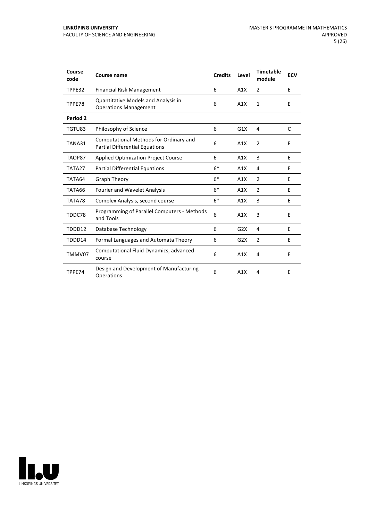| Course<br>code | Course name                                                                     | <b>Credits</b> | Level | <b>Timetable</b><br>module | <b>ECV</b> |
|----------------|---------------------------------------------------------------------------------|----------------|-------|----------------------------|------------|
| TPPE32         | <b>Financial Risk Management</b>                                                | 6              | A1X   | 2                          | E          |
| TPPE78         | Quantitative Models and Analysis in<br><b>Operations Management</b>             | 6              | A1X   | 1                          | E          |
| Period 2       |                                                                                 |                |       |                            |            |
| TGTU83         | Philosophy of Science                                                           | 6              | G1X   | 4                          | C          |
| TANA31         | Computational Methods for Ordinary and<br><b>Partial Differential Equations</b> | 6              | A1X   | $\overline{2}$             | E          |
| TAOP87         | <b>Applied Optimization Project Course</b>                                      | 6              | A1X   | 3                          | E          |
| TATA27         | <b>Partial Differential Equations</b>                                           | $6*$           | A1X   | 4                          | E          |
| TATA64         | <b>Graph Theory</b>                                                             | $6*$           | A1X   | $\overline{2}$             | E          |
| TATA66         | <b>Fourier and Wavelet Analysis</b>                                             | $6*$           | A1X   | $\overline{2}$             | E          |
| TATA78         | Complex Analysis, second course                                                 | $6*$           | A1X   | 3                          | E          |
| TDDC78         | Programming of Parallel Computers - Methods<br>and Tools                        | 6              | A1X   | 3                          | E          |
| TDDD12         | Database Technology                                                             | 6              | G2X   | 4                          | E          |
| TDDD14         | Formal Languages and Automata Theory                                            | 6              | G2X   | $\overline{2}$             | E          |
| TMMV07         | Computational Fluid Dynamics, advanced<br>course                                | 6              | A1X   | 4                          | E          |
| TPPE74         | Design and Development of Manufacturing<br>Operations                           | 6              | A1X   | 4                          | E          |

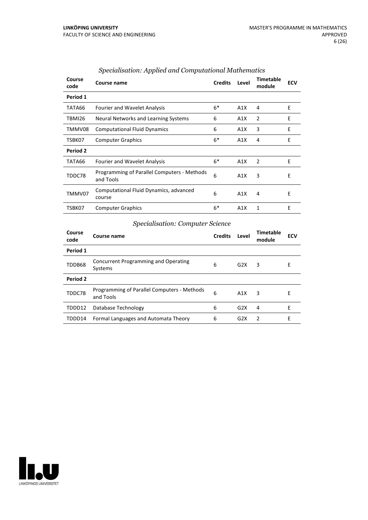| Course<br>code | Course name                                              | <b>Credits</b> | Level | <b>Timetable</b><br>module | <b>ECV</b> |
|----------------|----------------------------------------------------------|----------------|-------|----------------------------|------------|
| Period 1       |                                                          |                |       |                            |            |
| TATA66         | <b>Fourier and Wavelet Analysis</b>                      | $6*$           | A1X   | 4                          | E          |
| TBMI26         | Neural Networks and Learning Systems                     | 6              | A1X   | 2                          | E          |
| TMMV08         | <b>Computational Fluid Dynamics</b>                      | 6              | A1X   | 3                          | E          |
| TSBK07         | <b>Computer Graphics</b>                                 | $6*$           | A1X   | 4                          | E          |
| Period 2       |                                                          |                |       |                            |            |
| TATA66         | <b>Fourier and Wavelet Analysis</b>                      | $6*$           | A1X   | 2                          | E          |
| TDDC78         | Programming of Parallel Computers - Methods<br>and Tools | 6              | A1X   | 3                          | Е          |
| TMMV07         | Computational Fluid Dynamics, advanced<br>course         | 6              | A1X   | 4                          | Е          |
| TSBK07         | <b>Computer Graphics</b>                                 | $6*$           | A1X   | 1                          | E          |

# *Specialisation: Applied and Computational Mathematics*

# *Specialisation: Computer Science*

| Course<br>code | Course name                                              | <b>Credits</b> | Level            | Timetable<br>module | <b>ECV</b> |
|----------------|----------------------------------------------------------|----------------|------------------|---------------------|------------|
| Period 1       |                                                          |                |                  |                     |            |
| TDDB68         | <b>Concurrent Programming and Operating</b><br>Systems   | 6              | G2X              | 3                   | E          |
| Period 2       |                                                          |                |                  |                     |            |
| TDDC78         | Programming of Parallel Computers - Methods<br>and Tools | 6              | A1X              | 3                   | E          |
| TDDD12         | Database Technology                                      | 6              | G2X              | 4                   | Е          |
| TDDD14         | Formal Languages and Automata Theory                     | 6              | G <sub>2</sub> X | $\mathcal{P}$       | Е          |

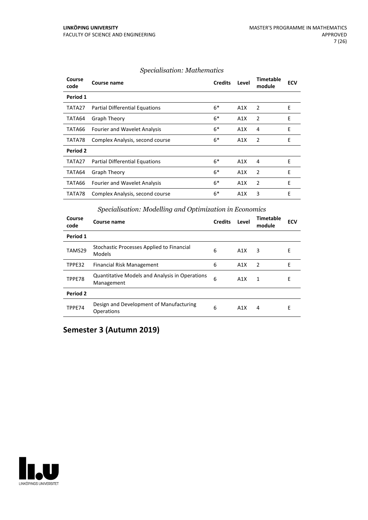| Course<br>code  | Course name                           | <b>Credits</b> | Level | Timetable<br>module | <b>ECV</b> |
|-----------------|---------------------------------------|----------------|-------|---------------------|------------|
| Period 1        |                                       |                |       |                     |            |
| TATA27          | Partial Differential Equations        | $6*$           | A1X   | 2                   | Ε          |
| TATA64          | Graph Theory                          | $6*$           | A1X   | 2                   | E          |
| TATA66          | <b>Fourier and Wavelet Analysis</b>   | $6*$           | A1X   | 4                   | E          |
| TATA78          | Complex Analysis, second course       | $6*$           | A1X   | 2                   | E          |
| <b>Period 2</b> |                                       |                |       |                     |            |
| TATA27          | <b>Partial Differential Equations</b> | $6*$           | A1X   | 4                   | E          |
| TATA64          | Graph Theory                          | $6*$           | A1X   | $\overline{2}$      | E          |
| TATA66          | <b>Fourier and Wavelet Analysis</b>   | $6*$           | A1X   | $\overline{2}$      | E          |
| TATA78          | Complex Analysis, second course       | $6*$           | A1X   | 3                   | E          |

# *Specialisation: Mathematics*

|                | opeeninoment modelling and openinzation in Leonomes                 |                |       |                     |            |  |
|----------------|---------------------------------------------------------------------|----------------|-------|---------------------|------------|--|
| Course<br>code | Course name                                                         | <b>Credits</b> | Level | Timetable<br>module | <b>ECV</b> |  |
| Period 1       |                                                                     |                |       |                     |            |  |
| TAMS29         | Stochastic Processes Applied to Financial<br>Models                 | 6              | A1X   | 3                   | Е          |  |
| TPPE32         | Financial Risk Management                                           | 6              | A1X   | 2                   | E          |  |
| TPPE78         | <b>Quantitative Models and Analysis in Operations</b><br>Management | 6              | A1X   | 1                   | E          |  |
| Period 2       |                                                                     |                |       |                     |            |  |
| TPPE74         | Design and Development of Manufacturing<br>Operations               | 6              | A1X   | 4                   | E          |  |

# *Specialisation: Modelling and Optimization in Economics*

**Semester 3 (Autumn 2019)**

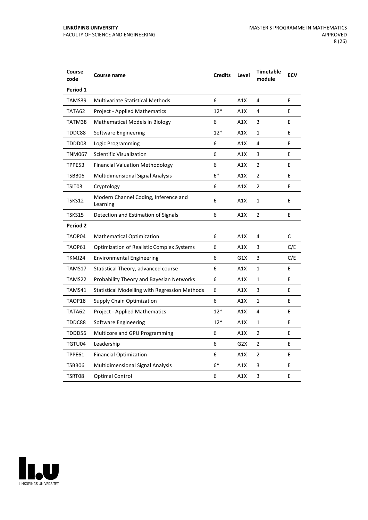| Course<br>code | Course name                                      | <b>Credits</b> | Level            | <b>Timetable</b><br>module | <b>ECV</b> |
|----------------|--------------------------------------------------|----------------|------------------|----------------------------|------------|
| Period 1       |                                                  |                |                  |                            |            |
| TAMS39         | <b>Multivariate Statistical Methods</b>          | 6              | A1X              | 4                          | E          |
| TATA62         | <b>Project - Applied Mathematics</b>             | $12*$          | A1X              | 4                          | E          |
| TATM38         | <b>Mathematical Models in Biology</b>            | 6              | A1X              | 3                          | E          |
| TDDC88         | Software Engineering                             | $12*$          | A1X              | 1                          | E          |
| TDDD08         | Logic Programming                                | 6              | A1X              | 4                          | E          |
| <b>TNM067</b>  | <b>Scientific Visualization</b>                  | 6              | A1X              | 3                          | Е          |
| TPPE53         | <b>Financial Valuation Methodology</b>           | 6              | A1X              | $\overline{2}$             | E          |
| TSBB06         | <b>Multidimensional Signal Analysis</b>          | $6*$           | A1X              | $\overline{2}$             | E          |
| TSIT03         | Cryptology                                       | 6              | A1X              | 2                          | E          |
| TSKS12         | Modern Channel Coding, Inference and<br>Learning | 6              | A1X              | 1                          | E          |
| TSKS15         | Detection and Estimation of Signals              | 6              | A1X              | $\overline{2}$             | E          |
| Period 2       |                                                  |                |                  |                            |            |
| TAOP04         | <b>Mathematical Optimization</b>                 | 6              | A1X              | 4                          | C          |
| TAOP61         | <b>Optimization of Realistic Complex Systems</b> | 6              | A1X              | 3                          | C/E        |
| TKMJ24         | <b>Environmental Engineering</b>                 | 6              | G1X              | 3                          | C/E        |
| TAMS17         | Statistical Theory, advanced course              | 6              | A1X              | $\mathbf{1}$               | E          |
| TAMS22         | <b>Probability Theory and Bayesian Networks</b>  | 6              | A1X              | $\mathbf{1}$               | E          |
| TAMS41         | Statistical Modelling with Regression Methods    | 6              | A1X              | 3                          | E          |
| TAOP18         | Supply Chain Optimization                        | 6              | A1X              | 1                          | E          |
| TATA62         | <b>Project - Applied Mathematics</b>             | $12*$          | A1X              | 4                          | E          |
| TDDC88         | Software Engineering                             | $12*$          | A1X              | 1                          | E          |
| TDDD56         | Multicore and GPU Programming                    | 6              | A1X              | 2                          | Е          |
| TGTU04         | Leadership                                       | 6              | G <sub>2</sub> X | $\overline{2}$             | E          |
| TPPE61         | <b>Financial Optimization</b>                    | 6              | A1X              | 2                          | E          |
| TSBB06         | <b>Multidimensional Signal Analysis</b>          | $6*$           | A1X              | 3                          | E          |
| TSRT08         | Optimal Control                                  | 6              | A1X              | 3                          | E          |

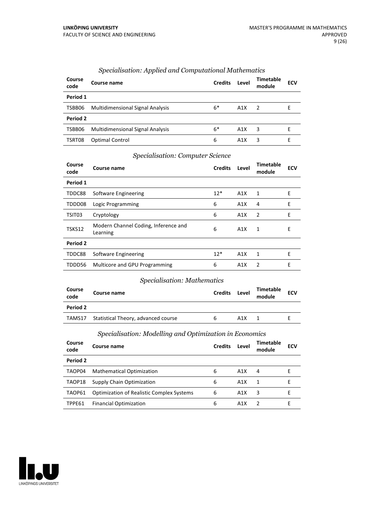| Course<br>code | Course name                             | <b>Credits</b> | Level            | Timetable<br>module | <b>ECV</b> |
|----------------|-----------------------------------------|----------------|------------------|---------------------|------------|
| Period 1       |                                         |                |                  |                     |            |
| TSBB06         | <b>Multidimensional Signal Analysis</b> | $6*$           | A1X              | $\mathcal{L}$       | F          |
| Period 2       |                                         |                |                  |                     |            |
| TSBB06         | <b>Multidimensional Signal Analysis</b> | $6*$           | A1X              | 3                   | F          |
| TSRT08         | <b>Optimal Control</b>                  | 6              | A <sub>1</sub> X | 3                   | F          |

# *Specialisation: Applied and Computational Mathematics*

# *Specialisation: Computer Science*

| Course<br>code | Course name                                      | <b>Credits</b> | Level | Timetable<br>module | <b>ECV</b> |
|----------------|--------------------------------------------------|----------------|-------|---------------------|------------|
| Period 1       |                                                  |                |       |                     |            |
| TDDC88         | Software Engineering                             | $12*$          | A1X   | 1                   | E          |
| TDDD08         | Logic Programming                                | 6              | A1X   | 4                   | Ε          |
| TSIT03         | Cryptology                                       | 6              | A1X   | 2                   | E          |
| TSKS12         | Modern Channel Coding, Inference and<br>Learning | 6              | A1X   | 1                   | Ε          |
| Period 2       |                                                  |                |       |                     |            |
| TDDC88         | Software Engineering                             | $12*$          | A1X   | 1                   | E          |
| TDDD56         | Multicore and GPU Programming                    | 6              | A1X   | 2                   | E          |

#### *Specialisation: Mathematics*

| Course<br>code | Course name                         | <b>Credits</b> | Level | Timetable<br>module | <b>ECV</b> |
|----------------|-------------------------------------|----------------|-------|---------------------|------------|
| Period 2       |                                     |                |       |                     |            |
| TAMS17         | Statistical Theory, advanced course | h              | A1X   |                     |            |

# *Specialisation: Modelling and Optimization in Economics*

| Course<br>code | Course name                                      | <b>Credits</b> | Level | Timetable<br>module | <b>ECV</b> |
|----------------|--------------------------------------------------|----------------|-------|---------------------|------------|
| Period 2       |                                                  |                |       |                     |            |
| TAOP04         | <b>Mathematical Optimization</b>                 | 6              | A1X   | 4                   |            |
| TAOP18         | Supply Chain Optimization                        | 6              | A1X   | 1                   |            |
| TAOP61         | <b>Optimization of Realistic Complex Systems</b> | 6              | A1X   | 3                   | F          |
| TPPE61         | <b>Financial Optimization</b>                    | 6              | A1X   |                     | ь          |

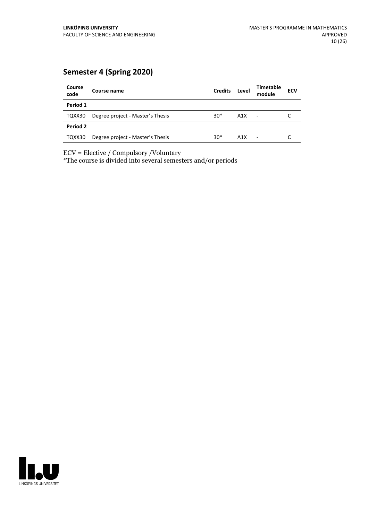# **Semester 4 (Spring 2020)**

| Course<br>code | Course name                      | <b>Credits</b> | Level | <b>Timetable</b><br>module | <b>ECV</b> |
|----------------|----------------------------------|----------------|-------|----------------------------|------------|
| Period 1       |                                  |                |       |                            |            |
| TQXX30         | Degree project - Master's Thesis | $30*$          | A1X   | $\blacksquare$             |            |
| Period 2       |                                  |                |       |                            |            |
| TQXX30         | Degree project - Master's Thesis | $30*$          | A1X   |                            |            |

ECV = Elective / Compulsory /Voluntary

\*The course is divided into several semesters and/or periods

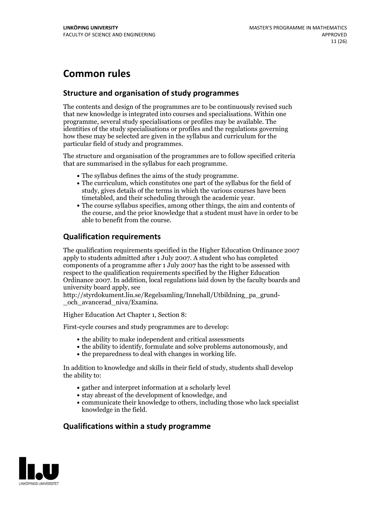# **Common rules**

# **Structure and organisation of study programmes**

The contents and design of the programmes are to be continuously revised such that new knowledge is integrated into courses and specialisations. Within one programme, several study specialisations or profiles may be available. The identities of the study specialisations or profiles and the regulations governing how these may be selected are given in the syllabus and curriculum for the particular field of study and programmes.

The structure and organisation of the programmes are to follow specified criteria that are summarised in the syllabus for each programme.

- 
- The syllabus defines the aims of the study programme.<br>• The curriculum, which constitutes one part of the syllabus for the field of study, gives details of the terms in which the various courses have been
- The course syllabus specifies, among other things, the aim and contents of the course, and the prior knowledge that a student must have in order to be able to benefit from the course.

# **Qualification requirements**

The qualification requirements specified in the Higher Education Ordinance 2007 apply to students admitted after 1 July 2007. A student who has completed components of a programme after 1 July 2007 has the right to be assessed with respect to the qualification requirements specified by the Higher Education Ordinance 2007. In addition, local regulations laid down by the faculty boards and university board apply, see

http://styrdokument.liu.se/Regelsamling/Innehall/Utbildning\_pa\_grund- \_och\_avancerad\_niva/Examina.

Higher Education Act Chapter 1, Section 8:

First-cycle courses and study programmes are to develop:

- the ability to make independent and critical assessments
- the ability to identify, formulate and solve problems autonomously, and
- $\bullet$  the preparedness to deal with changes in working life.

In addition to knowledge and skills in their field of study, students shall develop the ability to:

- gather and interpret information at a scholarly level
- stay abreast of the development of knowledge, and
- communicate their knowledge to others, including those who lack specialist knowledge in the field.

# **Qualifications within a study programme**

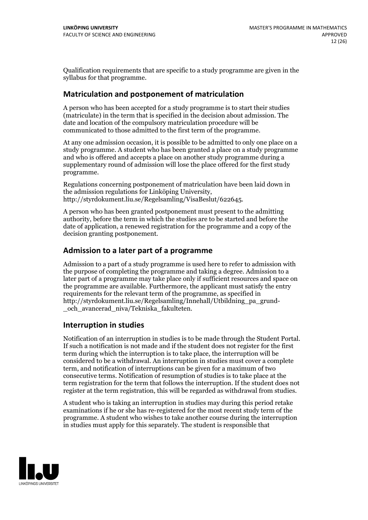Qualification requirements that are specific to a study programme are given in the syllabus for that programme.

# **Matriculation and postponement of matriculation**

A person who has been accepted for a study programme is to start their studies (matriculate) in the term that is specified in the decision about admission. The date and location of the compulsory matriculation procedure will be communicated to those admitted to the first term of the programme.

At any one admission occasion, it is possible to be admitted to only one place on a study programme. A student who has been granted a place on a study programme and who is offered and accepts a place on another study programme during a supplementary round of admission will lose the place offered for the first study programme.

Regulations concerning postponement of matriculation have been laid down in the admission regulations for Linköping University, http://styrdokument.liu.se/Regelsamling/VisaBeslut/622645.

A person who has been granted postponement must present to the admitting authority, before the term in which the studies are to be started and before the date of application, a renewed registration for the programme and a copy of the decision granting postponement.

# **Admission to a later part of a programme**

Admission to a part of a study programme is used here to refer to admission with the purpose of completing the programme and taking a degree. Admission to a later part of a programme may take place only if sufficient resources and space on the programme are available. Furthermore, the applicant must satisfy the entry requirements for the relevant term of the programme, as specified in http://styrdokument.liu.se/Regelsamling/Innehall/Utbildning\_pa\_grund- \_och\_avancerad\_niva/Tekniska\_fakulteten.

# **Interruption in studies**

Notification of an interruption in studies is to be made through the Student Portal. If such <sup>a</sup> notification is not made and if the student does not register for the first term during which the interruption is to take place, the interruption will be considered to be a withdrawal. An interruption in studies must cover a complete term, and notification of interruptions can be given for a maximum of two consecutive terms. Notification of resumption of studies is to take place at the term registration for the term that follows the interruption. If the student does not register at the term registration, this will be regarded as withdrawal from studies.

A student who is taking an interruption in studies may during this period retake examinations if he or she has re-registered for the most recent study term of the programme. A student who wishes to take another course during the interruption in studies must apply for this separately. The student is responsible that

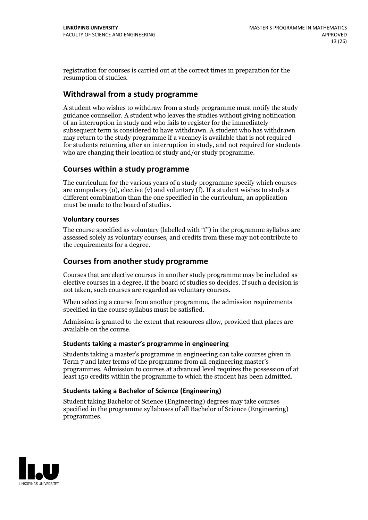registration for courses is carried outat the correct times in preparation for the resumption of studies.

# **Withdrawal from a study programme**

A student who wishes to withdraw from a study programme must notify the study guidance counsellor. A student who leaves the studies without giving notification of an interruption in study and who fails to register for the immediately subsequent term is considered to have withdrawn. A student who has withdrawn may return to the study programme if a vacancy is available that is not required for students returning after an interruption in study, and not required for students who are changing their location of study and/or study programme.

# **Courses within a study programme**

The curriculum for the various years of a study programme specify which courses are compulsory (o), elective (v) and voluntary (f). If a student wishes to study a different combination than the one specified in the curriculum, an application must be made to the board of studies.

#### **Voluntarycourses**

The course specified as voluntary (labelled with "f") in the programme syllabus are assessed solely as voluntary courses, and credits from these may not contribute to the requirements for a degree.

# **Courses from another study programme**

Courses that are elective courses in another study programme may be included as elective courses in a degree, if the board of studies so decides. If such a decision is not taken, such courses are regarded as voluntary courses.

When selecting a course from another programme, the admission requirements specified in the course syllabus must be satisfied.

Admission is granted to the extent that resources allow, provided that places are available on the course.

#### **Students taking a master's programme in engineering**

Students taking a master's programme in engineering can take courses given in Term 7 and later terms of the programme from all engineering master's programmes. Admission to courses at advanced level requires the possession of at least 150 credits within the programme to which the student has been admitted.

### **Students taking a Bachelor of Science (Engineering)**

Student taking Bachelor of Science (Engineering) degrees may take courses specified in the programme syllabuses of all Bachelor of Science (Engineering) programmes.

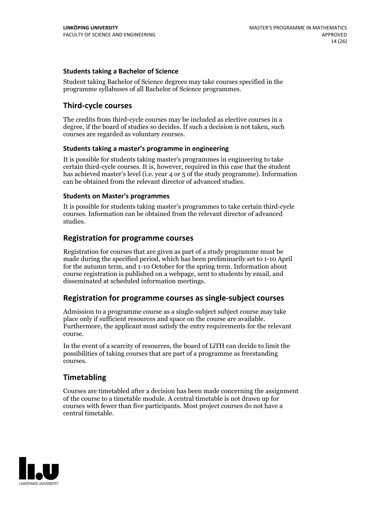#### **Students taking a Bachelor of Science**

Student taking Bachelor of Science degrees may take courses specified in the programme syllabuses of all Bachelor of Science programmes.

# **Third-cycle courses**

The credits from third-cycle courses may be included as elective courses in a degree, if the board of studies so decides. If such a decision is not taken, such courses are regarded as voluntary courses.

#### **Students taking a master's programme in engineering**

It is possible for students taking master's programmes in engineering to take certain third-cycle courses. It is, however, required in this case that the student has achieved master's level (i.e. year 4 or 5 of the study programme). Information can be obtained from the relevant director of advanced studies.

#### **Students on Master's programmes**

It is possible for students taking master's programmes to take certain third-cycle courses. Information can be obtained from the relevant director of advanced studies.

### **Registration for programme courses**

Registration for courses that are given as part of a study programme must be made during the specified period, which has been preliminarily set to 1-10 April for the autumn term, and 1-10 October for the spring term. Information about course registration is published on a webpage, sent to students by email, and disseminated at scheduled information meetings.

# **Registration for programme courses as single-subject courses**

Admission to a programme course as a single-subject subject course may take place only if sufficient resources and space on the course are available. Furthermore, the applicant must satisfy the entry requirements for the relevant course.

In the event of a scarcity of resources, the board of LiTH can decide to limit the possibilities of taking courses that are part of a programme as freestanding courses.

# **Timetabling**

Courses are timetabled after a decision has been made concerning the assignment of the course to a timetable module. A central timetable is not drawn up for courses with fewer than five participants. Most project courses do not have a central timetable.

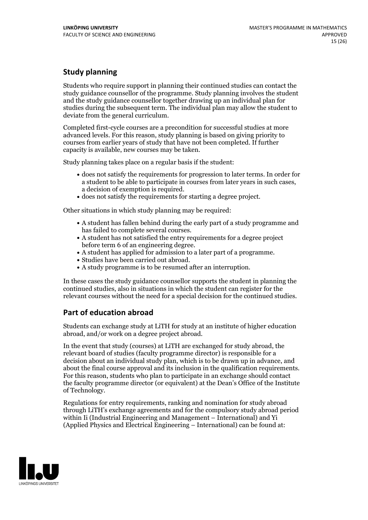# **Study planning**

Students who require support in planning their continued studies can contact the study guidance counsellor of the programme. Study planning involves the student and the study guidance counsellor together drawing up an individual plan for studies during the subsequent term. The individual plan may allow the student to deviate from the general curriculum.

Completed first-cycle courses are a precondition for successful studies at more advanced levels. For this reason, study planning is based on giving priority to courses from earlier years of study that have not been completed. If further capacity is available, new courses may be taken.

Study planning takes place on a regular basis if the student:

- does not satisfy the requirements for progression to later terms. In order for a student to be able to participate in courses from later years in such cases, a decision of exemption is required.<br>
• does not satisfy the requirements for starting a degree project.
- 

Other situations in which study planning may be required:

- A student has fallen behind during the early part of a study programme and has failed to complete several courses.<br>• A student has not satisfied the entry requirements for a degree project
- before term 6 of an engineering degree.<br>• A student has applied for admission to a later part of a programme.<br>• Studies have been carried out abroad.<br>• A study programme is to be resumed after an interruption.
- 
- 
- 

In these cases the study guidance counsellor supports the student in planning the continued studies, also in situations in which the student can register for the relevant courses without the need for a special decision for the continued studies.

# **Part of education abroad**

Students can exchange study at LiTH for study at an institute of higher education abroad, and/or work on a degree project abroad.

In the event that study (courses) at LiTH are exchanged for study abroad, the relevant board of studies (faculty programme director) is responsible for a decision about an individual study plan, which is to be drawn up in advance, and about the final course approval and its inclusion in the qualification requirements. For this reason, students who plan to participate in an exchange should contact the faculty programme director (or equivalent) at the Dean's Office ofthe Institute of Technology.

Regulations for entry requirements, ranking and nomination for study abroad through LiTH's exchange agreements and for the compulsory study abroad period within Ii (Industrial Engineering and Management – International) and Yi (Applied Physics and Electrical Engineering – International) can be found at:

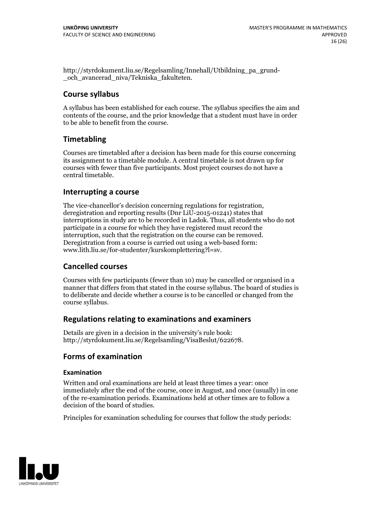http://styrdokument.liu.se/Regelsamling/Innehall/Utbildning\_pa\_grund- \_och\_avancerad\_niva/Tekniska\_fakulteten.

# **Course syllabus**

A syllabus has been established for each course. The syllabus specifies the aim and contents of the course, and the prior knowledge that a student must have in order to be able to benefit from the course.

# **Timetabling**

Courses are timetabled after a decision has been made for this course concerning its assignment to a timetable module. A central timetable is not drawn up for courses with fewer than five participants. Most project courses do not have a central timetable.

# **Interrupting a course**

The vice-chancellor's decision concerning regulations for registration, deregistration and reporting results (Dnr LiU-2015-01241) states that interruptions in study are to be recorded in Ladok. Thus, all students who do not participate in a course for which they have registered must record the interruption, such that the registration on the course can be removed. Deregistration from <sup>a</sup> course is carried outusing <sup>a</sup> web-based form: www.lith.liu.se/for-studenter/kurskomplettering?l=sv.

# **Cancelled courses**

Courses with few participants (fewer than 10) may be cancelled or organised in a manner that differs from that stated in the course syllabus. The board of studies is to deliberate and decide whether a course is to be cancelled orchanged from the course syllabus.

# **Regulations relatingto examinations and examiners**

Details are given in a decision in the university's rule book: http://styrdokument.liu.se/Regelsamling/VisaBeslut/622678.

# **Forms of examination**

### **Examination**

Written and oral examinations are held at least three times a year: once immediately after the end of the course, once in August, and once (usually) in one of the re-examination periods. Examinations held at other times are to follow a decision of the board of studies.

Principles for examination scheduling for courses that follow the study periods:

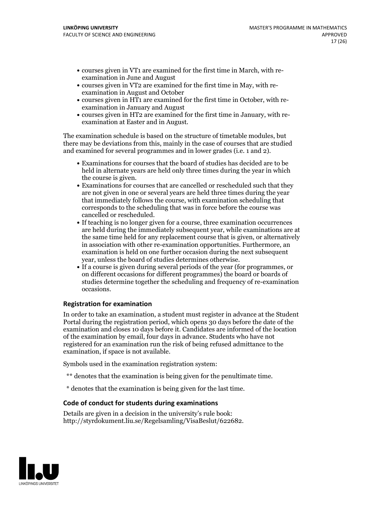- courses given in VT1 are examined for the first time in March, with re-examination in June and August
- courses given in VT2 are examined for the first time in May, with re-examination in August and October
- courses given in HT1 are examined for the first time in October, with re-examination in January and August
- courses given in HT2 are examined for the first time in January, with re-examination at Easter and in August.

The examination schedule is based on the structure of timetable modules, but there may be deviations from this, mainly in the case of courses that are studied and examined for several programmes and in lower grades (i.e. 1 and 2).

- Examinations for courses that the board of studies has decided are to be held in alternate years are held only three times during the year in which the course is given.<br>• Examinations for courses that are cancelled or rescheduled such that they
- are not given in one or several years are held three times during the year that immediately follows the course, with examination scheduling that corresponds to the scheduling that was in force before the course was cancelled or rescheduled.<br>• If teaching is no longer given for a course, three examination occurrences
- are held during the immediately subsequent year, while examinations are at the same time held for any replacement course that is given, or alternatively in association with other re-examination opportunities. Furthermore, an examination is held on one further occasion during the next subsequent
- year, unless the board of studies determines otherwise.<br>If a course is given during several periods of the year (for programmes, or on different occasions for different programmes) the board or boards of studies determine together the scheduling and frequency of re-examination occasions.

### **Registration for examination**

In order to take an examination, a student must register in advance at the Student Portal during the registration period, which opens 30 days before the date of the examination and closes 10 days before it. Candidates are informed of the location of the examination by email, four days in advance. Students who have not registered for an examination run the risk of being refused admittance to the examination, if space is not available.

Symbols used in the examination registration system:

- \*\* denotes that the examination is being given for the penultimate time.
- \* denotes that the examination is being given for the last time.

#### **Code of conduct for students during examinations**

Details are given in a decision in the university's rule book: http://styrdokument.liu.se/Regelsamling/VisaBeslut/622682.

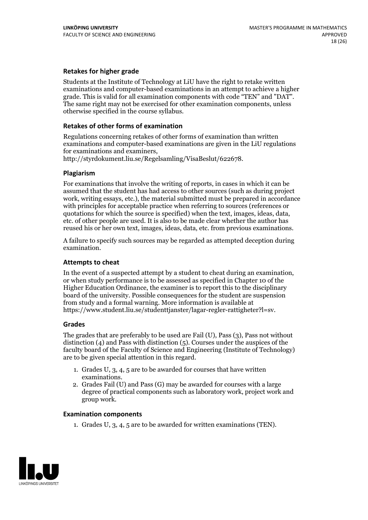#### **Retakes for higher grade**

Students at the Institute of Technology at LiU have the right to retake written examinations and computer-based examinations in an attempt to achieve a higher grade. This is valid for all examination components with code "TEN" and "DAT". The same right may not be exercised for other examination components, unless otherwise specified in the course syllabus.

#### **Retakes of other forms of examination**

Regulations concerning retakes of other forms of examination than written examinations and computer-based examinations are given in the LiU regulations

http://styrdokument.liu.se/Regelsamling/VisaBeslut/622678.

#### **Plagiarism**

For examinations that involve the writing of reports, in cases in which it can be assumed that the student has had access to other sources (such as during project work, writing essays, etc.), the material submitted must be prepared in accordance with principles for acceptable practice when referring to sources (references or quotations for which the source is specified) when the text, images, ideas, data, etc. of other people are used. It is also to be made clear whether the author has reused his or her own text, images, ideas, data, etc. from previous examinations.

A failure to specify such sources may be regarded as attempted deception during examination.

#### **Attempts to cheat**

In the event of <sup>a</sup> suspected attempt by <sup>a</sup> student to cheat during an examination, or when study performance is to be assessed as specified in Chapter <sup>10</sup> of the Higher Education Ordinance, the examiner is to report this to the disciplinary board of the university. Possible consequences for the student are suspension from study and a formal warning. More information is available at https://www.student.liu.se/studenttjanster/lagar-regler-rattigheter?l=sv.

#### **Grades**

The grades that are preferably to be used are Fail (U), Pass (3), Pass not without distinction  $(4)$  and Pass with distinction  $(5)$ . Courses under the auspices of the faculty board of the Faculty of Science and Engineering (Institute of Technology) are to be given special attention in this regard.

- 1. Grades U, 3, 4, 5 are to be awarded for courses that have written
- examinations. 2. Grades Fail (U) and Pass (G) may be awarded for courses with <sup>a</sup> large degree of practical components such as laboratory work, project work and group work.

#### **Examination components**

1. Grades U, 3, 4, 5 are to be awarded for written examinations (TEN).

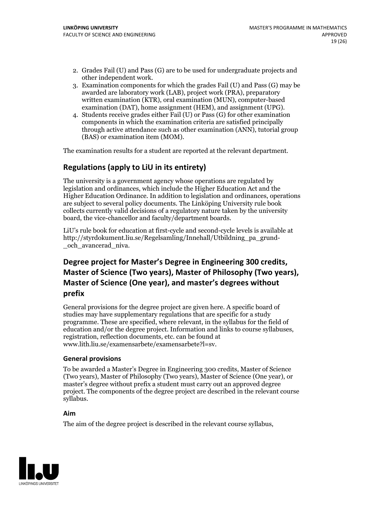- 2. Grades Fail (U) and Pass (G) are to be used for undergraduate projects and other independent work. 3. Examination components for which the grades Fail (U) and Pass (G) may be
- awarded are laboratory work (LAB), project work (PRA), preparatory written examination (KTR), oral examination (MUN), computer-based
- examination (DAT), home assignment (HEM), and assignment (UPG). 4. Students receive grades either Fail (U) or Pass (G) for other examination components in which the examination criteria are satisfied principally through active attendance such as other examination (ANN), tutorial group (BAS) or examination item (MOM).

The examination results for a student are reported at the relevant department.

# **Regulations (applyto LiU in its entirety)**

The university is a government agency whose operations are regulated by legislation and ordinances, which include the Higher Education Act and the Higher Education Ordinance. In addition to legislation and ordinances, operations are subject to several policy documents. The Linköping University rule book collects currently valid decisions of a regulatory nature taken by the university board, the vice-chancellor and faculty/department boards.

LiU's rule book for education at first-cycle and second-cycle levels is available at http://styrdokument.liu.se/Regelsamling/Innehall/Utbildning\_pa\_grund- \_och\_avancerad\_niva.

# **Degree project for Master's Degree in Engineering 300 credits, Master** of Science (Two years), Master of Philosophy (Two years), **Master ofScience (One year), and master's degrees without prefix**

General provisions for the degree project are given here. A specific board of studies may have supplementary regulations that are specific for a study programme. These are specified, where relevant, in the syllabus for the field of education and/or the degree project. Information and links to course syllabuses, registration, reflection documents, etc. can be found at www.lith.liu.se/examensarbete/examensarbete?l=sv.

#### **General provisions**

To be awarded a Master's Degree in Engineering 300 credits, Master of Science (Two years), Master of Philosophy (Two years), Master of Science (One year), or master's degree without prefix a student must carry out an approved degree project. The components of the degree project are described in the relevant course syllabus.

#### **Aim**

The aim of the degree project is described in the relevant course syllabus,

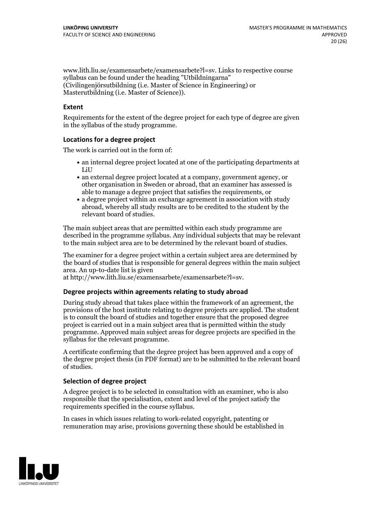www.lith.liu.se/examensarbete/examensarbete?l=sv. Links to respective course syllabus can be found under the heading "Utbildningarna" (Civilingenjörsutbildning (i.e. Master of Science in Engineering) or Masterutbildning (i.e. Master of Science)).

#### **Extent**

Requirements for the extent of the degree project for each type of degree are given in the syllabus of the study programme.

#### **Locations for a degree project**

The work is carried out in the form of:

- an internal degree project located at one of the participating departments at LiU
- an external degree project located at a company, government agency, or other organisation in Sweden or abroad, that an examiner has assessed is able to manage a degree project that satisfies the requirements, or
- a degree project within an exchange agreement in association with study abroad, whereby all study results are to be credited to the student by the relevant board of studies.

The main subject areas that are permitted within each study programme are described in the programme syllabus. Any individual subjects that may be relevant to the main subject area are to be determined by the relevant board of studies.

The examiner for a degree project within a certain subject area are determined by the board of studies that is responsible for general degrees within the main subject area. An up-to-date list is given

at http://www.lith.liu.se/examensarbete/examensarbete?l=sv.

#### **Degree projects within agreements relatingto study abroad**

During study abroad that takes place within the framework of an agreement, the provisions of the host institute relating to degree projects are applied. The student is to consult the board of studies and together ensure that the proposed degree project is carried out in a main subject area that is permitted within the study programme. Approved main subject areas for degree projects are specified in the syllabus for the relevant programme.

A certificate confirming that the degree project has been approved and a copy of the degree project thesis (in PDF format) are to be submitted to the relevant board of studies.

#### **Selection of degree project**

A degree project is to be selected in consultation with an examiner, who is also responsible that the specialisation, extent and level of the project satisfy the requirements specified in the course syllabus.

In cases in which issues relating to work-related copyright, patenting or remuneration may arise, provisions governing these should be established in

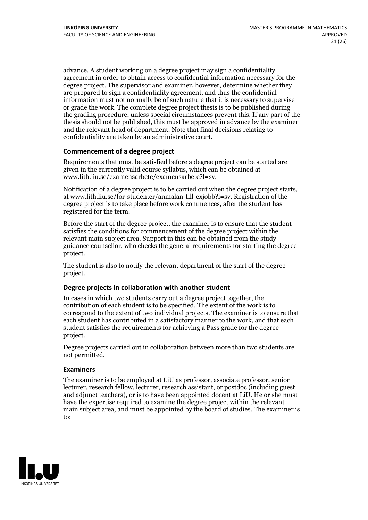advance. A student working on a degree project may sign a confidentiality agreement in order to obtain access to confidential information necessary for the degree project. The supervisor and examiner, however, determine whether they are prepared to sign a confidentiality agreement, and thus the confidential information must not normally be of such nature that it is necessary to supervise or grade the work. The complete degree project thesis is to be published during the grading procedure, unless special circumstances prevent this. If any part of the thesis should not be published, this must be approved in advance by the examiner and the relevant head of department. Note that final decisions relating to confidentiality are taken by an administrative court.

#### **Commencement of a degree project**

Requirements that must be satisfied before a degree project can be started are given in the currently valid course syllabus, which can be obtained at www.lith.liu.se/examensarbete/examensarbete?l=sv.

Notification of <sup>a</sup> degree project is to be carried outwhen the degree project starts, at www.lith.liu.se/for-studenter/anmalan-till-exjobb?l=sv. Registration of the degree project is to take place before work commences, after the student has registered for the term.

Before the start of the degree project, the examiner is to ensure that the student satisfies the conditions for commencement of the degree project within the relevant main subject area. Support in this can be obtained from the study guidance counsellor, who checks the general requirements for starting the degree project.

The student is also to notify the relevant department of the start of the degree project.

#### **Degree projects in collaboration with another student**

In cases in which two students carry out a degree project together, the contribution of each student is to be specified. The extent of the work is to correspond to the extent of two individual projects. The examiner is to ensure that each student has contributed in a satisfactory manner to the work, and that each student satisfies the requirements for achieving a Pass grade for the degree project.

Degree projects carried out in collaboration between more than two students are not permitted.

#### **Examiners**

The examiner is to be employed at LiU as professor, associate professor, senior lecturer, research fellow, lecturer, research assistant, or postdoc (including guest and adjunct teachers), or is to have been appointed docent at LiU. He or she must have the expertise required to examine the degree project within the relevant main subject area, and must be appointed by the board of studies. The examiner is to:

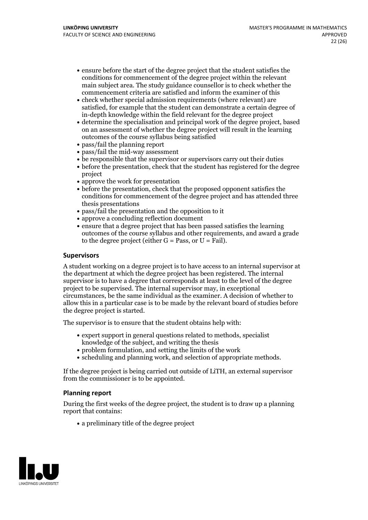- ensure before the start of the degree project that the student satisfies the conditions for commencement of the degree project within the relevant main subject area. The study guidance counsellor is to check whether the commencement criteria are satisfied and inform the examiner of this
- check whether special admission requirements (where relevant) are satisfied, for example that the student can demonstrate a certain degree of in-depth knowledge within the field relevant for the degree project
- determine the specialisation and principal work of the degree project, based on an assessment of whether the degree project will result in the learning outcomes of the course syllabus being satisfied
- pass/fail the planning report
- pass/fail the mid-way assessment
- be responsible that the supervisor or supervisors carry out their duties
- before the presentation, check that the student has registered for the degree project
- approve the work for presentation
- before the presentation, check that the proposed opponent satisfies the conditions for commencement of the degree project and has attended three thesis presentations
- pass/fail the presentation and the opposition to it
- approve a concluding reflection document
- ensure that a degree project that has been passed satisfies the learning outcomes of the course syllabus and other requirements, and award a grade to the degree project (either  $G = Pass$ , or  $U = Fail$ ).

#### **Supervisors**

A student working on a degree project is to have access to an internal supervisor at the department at which the degree project has been registered. The internal supervisor is to have a degree that corresponds at least to the level of the degree project to be supervised. The internal supervisor may, in exceptional circumstances, be the same individual as the examiner. A decision of whether to allow this in a particular case is to be made by the relevant board of studies before the degree project is started.

The supervisor is to ensure that the student obtains help with:

- expert support in general questions related to methods, specialist knowledge of the subject, and writing the thesis
- problem formulation, and setting the limits of the work
- scheduling and planning work, and selection of appropriate methods.

If the degree project is being carried out outside of LiTH, an external supervisor from the commissioner is to be appointed.

#### **Planning report**

During the first weeks of the degree project, the student is to draw up a planning report that contains:

 $\bullet$  a preliminary title of the degree project

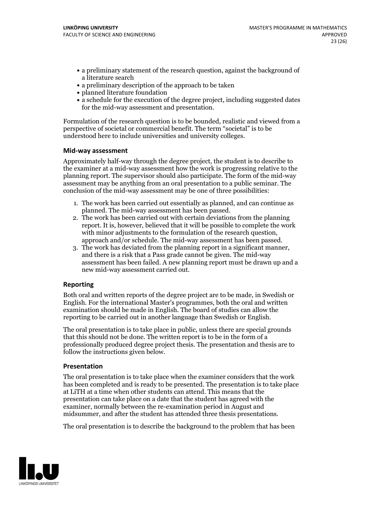- a preliminary statement of the research question, against the background of a literature search
- a preliminary description of the approach to be taken
- planned literature foundation
- a schedule for the execution of the degree project, including suggested dates for the mid-way assessment and presentation.

Formulation of the research question is to be bounded, realistic and viewed from a perspective of societal or commercial benefit. The term "societal" is to be understood here to include universities and university colleges.

#### **Mid-way assessment**

Approximately half-way through the degree project, the student is to describe to the examiner at a mid-way assessment how the work is progressing relative to the planning report. The supervisor should also participate. The form of the mid-way assessment may be anything from an oral presentation to a public seminar. The conclusion of the mid-way assessment may be one of three possibilities:

- 1. The work has been carried out essentially as planned, and can continue as planned. The mid-way assessment has been passed. 2. The work has been carried outwith certain deviations from the planning
- report. It is, however, believed that it will be possible to complete the work
- approach and/or schedule. The mid-way assessment has been passed.<br>3. The work has deviated from the planning report in a significant manner, and there is a risk that a Pass grade cannot be given. The mid-way assessment has been failed. A new planning report must be drawn up and a new mid-way assessment carried out.

### **Reporting**

Both oral and written reports of the degree project are to be made, in Swedish or English. For the international Master's programmes, both the oral and written examination should be made in English. The board of studies can allow the reporting to be carried out in another language than Swedish or English.

The oral presentation is to take place in public, unless there are special grounds that this should not be done. The written report is to be in the form of a professionally produced degree project thesis. The presentation and thesis are to follow the instructions given below.

#### **Presentation**

The oral presentation is to take place when the examiner considers that the work has been completed and is ready to be presented. The presentation is to take place at LiTH at a time when other students can attend. This means that the presentation can take place on a date that the student has agreed with the examiner, normally between the re-examination period in August and midsummer, and after the student has attended three thesis presentations.

The oral presentation is to describe the background to the problem that has been

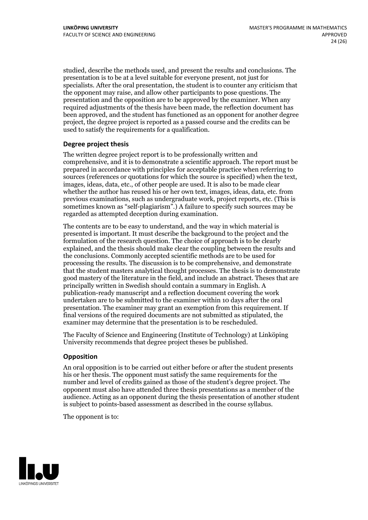studied, describe the methods used, and present the results and conclusions. The presentation is to be at a level suitable for everyone present, not just for specialists. After the oral presentation, the student is to counter any criticism that the opponent may raise, and allow other participants to pose questions. The presentation and the opposition are to be approved by the examiner. When any required adjustments of the thesis have been made, the reflection document has been approved, and the student has functioned as an opponent for another degree project, the degree project is reported as a passed course and the credits can be used to satisfy the requirements for a qualification.

#### **Degree project thesis**

The written degree project report is to be professionally written and comprehensive, and it is to demonstrate a scientific approach. The report must be prepared in accordance with principles for acceptable practice when referring to sources (references or quotations for which the source is specified) when the text, images, ideas, data, etc., of other people are used. It is also to be made clear whether the author has reused his or her own text, images, ideas, data, etc. from previous examinations, such asundergraduate work, project reports, etc. (This is sometimes known as"self-plagiarism".) A failure to specify such sources may be regarded as attempted deception during examination.

The contents are to be easy to understand, and the way in which material is presented is important. It must describe the background to the project and the formulation of the research question. The choice of approach is to be clearly explained, and the thesis should make clear the coupling between the results and the conclusions. Commonly accepted scientific methods are to be used for processing the results. The discussion is to be comprehensive, and demonstrate that the student masters analytical thought processes. The thesis is to demonstrate good mastery of the literature in the field, and include an abstract. Theses that are principally written in Swedish should contain a summary in English. A publication-ready manuscript and a reflection document covering the work undertaken are to be submitted to the examiner within 10 days after the oral presentation. The examiner may grant an exemption from this requirement. If final versions of the required documents are not submitted as stipulated, the examiner may determine that the presentation is to be rescheduled.

The Faculty of Science and Engineering (Institute of Technology) at Linköping University recommends that degree project theses be published.

#### **Opposition**

An oral opposition is to be carried out either before or after the student presents his or her thesis. The opponent must satisfy the same requirements for the number and level of credits gained as those of the student's degree project. The opponent must also have attended three thesis presentations as a member of the audience. Acting as an opponent during the thesis presentation of another student is subject to points-based assessment as described in the course syllabus.

The opponent is to:

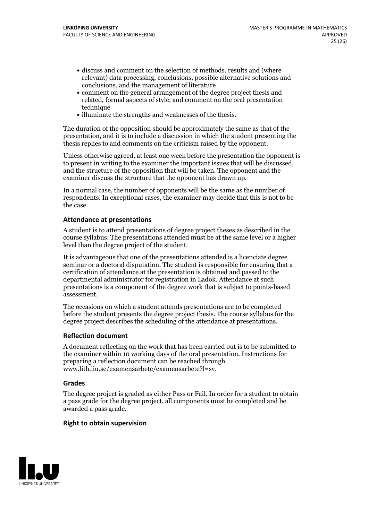- discuss and comment on the selection of methods, results and (where relevant) data processing, conclusions, possible alternative solutions and conclusions, and the management of literature
- comment on the general arrangement of the degree project thesis and related, formal aspects of style, and comment on the oral presentation technique
- illuminate the strengths and weaknesses of the thesis.

The duration of the opposition should be approximately the same as that of the presentation, and it is to include a discussion in which the student presenting the thesis replies to and comments on the criticism raised by the opponent.

Unless otherwise agreed, at least one week before the presentation the opponent is to present in writing to the examiner the important issues that will be discussed, and the structure ofthe opposition that will be taken. The opponent and the examiner discuss the structure that the opponent has drawn up.

In a normal case, the number of opponents will be the same as the number of respondents. In exceptional cases, the examiner may decide that this is not to be the case.

#### **Attendance at presentations**

A student is to attend presentations of degree project theses as described in the course syllabus. The presentations attended must be at the same level or a higher level than the degree project of the student.

It is advantageous that one of the presentations attended is a licenciate degree seminar or a doctoral disputation. The student is responsible for ensuring that a certification of attendance at the presentation is obtained and passed to the departmental administrator for registration in Ladok. Attendance at such presentations is a component of the degree work that is subject to points-based assessment.

The occasions on which a student attends presentations are to be completed before the student presents the degree project thesis. The course syllabus for the degree project describes the scheduling of the attendance at presentations.

#### **Reflection document**

A document reflecting on the work that has been carried outis to be submitted to the examiner within 10 working days of the oral presentation. Instructions for preparing a reflection document can be reached through www.lith.liu.se/examensarbete/examensarbete?l=sv.

#### **Grades**

The degree project is graded as either Pass or Fail. In order for a student to obtain a pass grade for the degree project, all components must be completed and be awarded a pass grade.

#### **Right to obtain supervision**